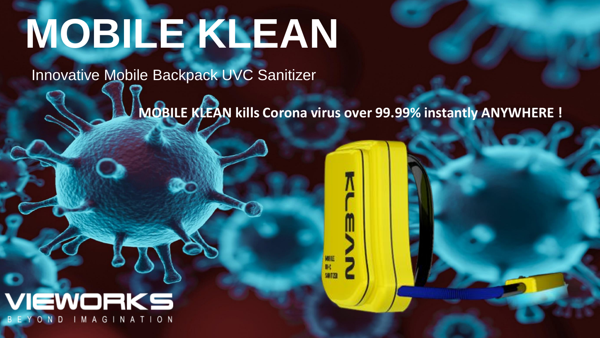# **MOBILE KLEAN**

Innovative Mobile Backpack UVC Sanitizer

**MOBILE KLEAN kills Corona virus over 99.99% instantly ANYWHERE !** 

sarro

## VIEWORKS IMAGINATION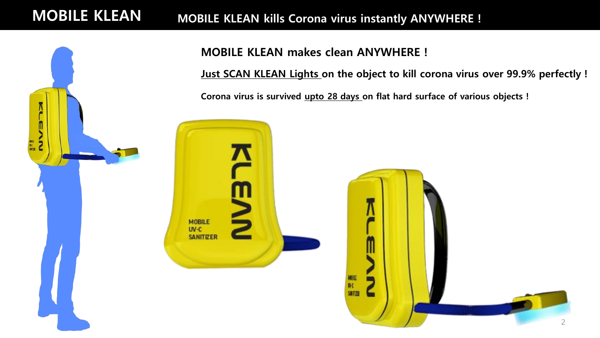## MOBILE KLEAN MOBILE KLEAN kills Corona virus instantly ANYWHERE !



**MOBILE** UV-C **SANITIZER** 

### MOBILE KLEAN makes clean ANYWHERE !

Just SCAN KLEAN Lights on the object to kill corona virus over 99.9% perfectly !

Corona virus is survived upto 28 days on flat hard surface of various objects !

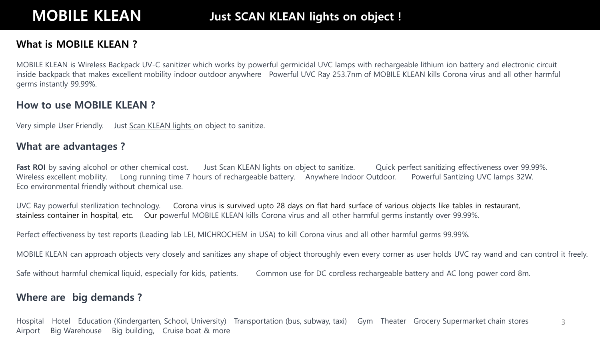#### What is MOBILE KLEAN ?

MOBILE KLEAN is Wireless Backpack UV-C sanitizer which works by powerful germicidal UVC lamps with rechargeable lithium ion battery and electronic circuit inside backpack that makes excellent mobility indoor outdoor anywhere Powerful UVC Ray 253.7nm of MOBILE KLEAN kills Corona virus and all other harmful germs instantly 99.99%.

#### How to use MOBILE KLEAN ?

Very simple User Friendly. Just Scan KLEAN lights on object to sanitize.

#### What are advantages ?

Fast ROI by saving alcohol or other chemical cost. Just Scan KLEAN lights on object to sanitize. Quick perfect sanitizing effectiveness over 99.99%. Wireless excellent mobility. Long running time 7 hours of rechargeable battery. Anywhere Indoor Outdoor. Powerful Santizing UVC lamps 32W. Eco environmental friendly without chemical use.

UVC Ray powerful sterilization technology. Corona virus is survived upto 28 days on flat hard surface of various objects like tables in restaurant, stainless container in hospital, etc. Our powerful MOBILE KLEAN kills Corona virus and all other harmful germs instantly over 99.99%.

Perfect effectiveness by test reports (Leading lab LEI, MICHROCHEM in USA) to kill Corona virus and all other harmful germs 99.99%.

MOBILE KLEAN can approach objects very closely and sanitizes any shape of object thoroughly even every corner as user holds UVC ray wand and can control it freely.

Safe without harmful chemical liquid, especially for kids, patients. Common use for DC cordless rechargeable battery and AC long power cord 8m.

#### Where are big demands ?

3 Hospital Hotel Education (Kindergarten, School, University) Transportation (bus, subway, taxi) Gym Theater Grocery Supermarket chain stores Airport Big Warehouse Big building, Cruise boat & more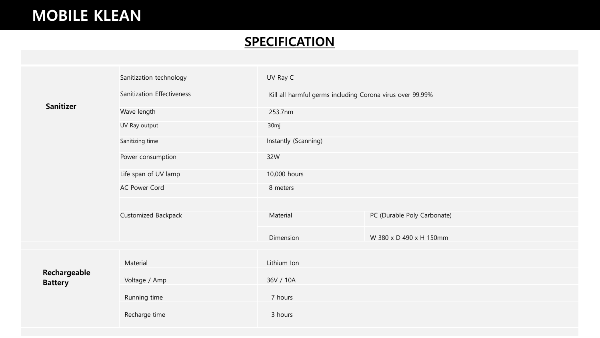## MOBILE KLEAN

## **SPECIFICATION**

|  | <b>Sanitizer</b>               | Sanitization technology    | UV Ray C                                                  |                             |
|--|--------------------------------|----------------------------|-----------------------------------------------------------|-----------------------------|
|  |                                | Sanitization Effectiveness | Kill all harmful germs including Corona virus over 99.99% |                             |
|  |                                | Wave length                | 253.7nm                                                   |                             |
|  |                                | UV Ray output              | 30 <sub>mj</sub>                                          |                             |
|  |                                | Sanitizing time            | Instantly (Scanning)                                      |                             |
|  |                                | Power consumption          | 32W                                                       |                             |
|  |                                | Life span of UV lamp       | 10,000 hours                                              |                             |
|  |                                | <b>AC Power Cord</b>       | 8 meters                                                  |                             |
|  |                                |                            |                                                           |                             |
|  |                                | Customized Backpack        | Material                                                  | PC (Durable Poly Carbonate) |
|  |                                |                            | Dimension                                                 | W 380 x D 490 x H 150mm     |
|  | Rechargeable<br><b>Battery</b> | Material                   | Lithium Ion                                               |                             |
|  |                                | Voltage / Amp              | 36V / 10A                                                 |                             |
|  |                                | Running time               | 7 hours                                                   |                             |
|  |                                | Recharge time              | 3 hours                                                   |                             |
|  |                                |                            |                                                           |                             |